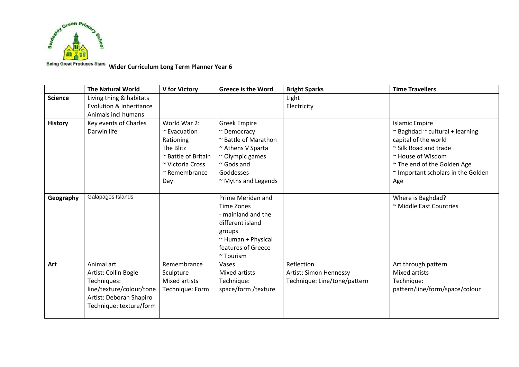

**Being Great Produces Stars** Wider Curriculum Long Term Planner Year 6

|                | <b>The Natural World</b>                                                                                                            | <b>V</b> for Victory                                                                                                                 | <b>Greece is the Word</b>                                                                                                                                           | <b>Bright Sparks</b>                                                 | <b>Time Travellers</b>                                                                                                                                                                                                    |
|----------------|-------------------------------------------------------------------------------------------------------------------------------------|--------------------------------------------------------------------------------------------------------------------------------------|---------------------------------------------------------------------------------------------------------------------------------------------------------------------|----------------------------------------------------------------------|---------------------------------------------------------------------------------------------------------------------------------------------------------------------------------------------------------------------------|
| <b>Science</b> | Living thing & habitats<br>Evolution & inheritance<br>Animals incl humans                                                           |                                                                                                                                      |                                                                                                                                                                     | Light<br>Electricity                                                 |                                                                                                                                                                                                                           |
| <b>History</b> | Key events of Charles<br>Darwin life                                                                                                | World War 2:<br>$\sim$ Evacuation<br>Rationing<br>The Blitz<br>~ Battle of Britain<br>~ Victoria Cross<br>$~\sim$ Remembrance<br>Day | <b>Greek Empire</b><br>~ Democracy<br>~ Battle of Marathon<br>~ Athens V Sparta<br>$\sim$ Olympic games<br>$\sim$ Gods and<br>Goddesses<br>$\sim$ Myths and Legends |                                                                      | <b>Islamic Empire</b><br>$\sim$ Baghdad $\sim$ cultural + learning<br>capital of the world<br>$\sim$ Silk Road and trade<br>~ House of Wisdom<br>~ The end of the Golden Age<br>~ Important scholars in the Golden<br>Age |
| Geography      | Galapagos Islands                                                                                                                   |                                                                                                                                      | Prime Meridan and<br>Time Zones<br>- mainland and the<br>different island<br>groups<br>$~\sim$ Human + Physical<br>features of Greece<br>$~\sim$ Tourism            |                                                                      | Where is Baghdad?<br>~ Middle East Countries                                                                                                                                                                              |
| Art            | Animal art<br>Artist: Collin Bogle<br>Techniques:<br>line/texture/colour/tone<br>Artist: Deborah Shapiro<br>Technique: texture/form | Remembrance<br>Sculpture<br>Mixed artists<br>Technique: Form                                                                         | Vases<br><b>Mixed artists</b><br>Technique:<br>space/form /texture                                                                                                  | Reflection<br>Artist: Simon Hennessy<br>Technique: Line/tone/pattern | Art through pattern<br>Mixed artists<br>Technique:<br>pattern/line/form/space/colour                                                                                                                                      |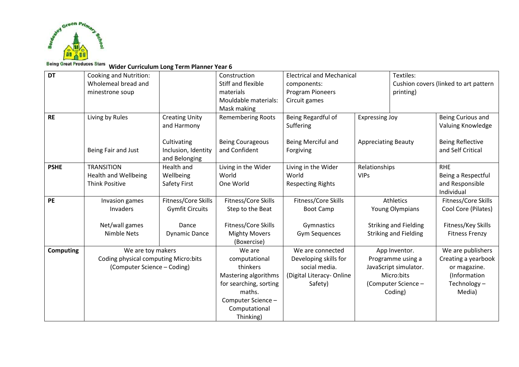

## **Being Great Produces Stars** Wider Curriculum Long Term Planner Year 6

| <b>DT</b>        | <b>Cooking and Nutrition:</b>                                                            |                        | Construction             | <b>Electrical and Mechanical</b> |                            | Textiles:                             |                         |  |
|------------------|------------------------------------------------------------------------------------------|------------------------|--------------------------|----------------------------------|----------------------------|---------------------------------------|-------------------------|--|
|                  | Wholemeal bread and                                                                      |                        | Stiff and flexible       | components:                      |                            | Cushion covers (linked to art pattern |                         |  |
|                  | minestrone soup                                                                          |                        | materials                | <b>Program Pioneers</b>          |                            |                                       | printing)               |  |
|                  |                                                                                          |                        | Mouldable materials:     | Circuit games                    |                            |                                       |                         |  |
|                  |                                                                                          |                        | Mask making              |                                  |                            |                                       |                         |  |
| <b>RE</b>        | Living by Rules                                                                          | <b>Creating Unity</b>  | <b>Remembering Roots</b> | Being Regardful of               | <b>Expressing Joy</b>      |                                       | Being Curious and       |  |
|                  |                                                                                          | and Harmony            |                          | Suffering                        |                            |                                       | Valuing Knowledge       |  |
|                  |                                                                                          |                        |                          |                                  |                            |                                       |                         |  |
|                  |                                                                                          | Cultivating            | <b>Being Courageous</b>  | Being Merciful and               | <b>Appreciating Beauty</b> |                                       | <b>Being Reflective</b> |  |
|                  | Being Fair and Just                                                                      | Inclusion, Identity    | and Confident            | Forgiving                        |                            |                                       | and Self Critical       |  |
|                  |                                                                                          | and Belonging          |                          |                                  |                            |                                       |                         |  |
| <b>PSHE</b>      | <b>TRANSITION</b>                                                                        | Health and             | Living in the Wider      | Living in the Wider              | Relationships              |                                       | <b>RHE</b>              |  |
|                  | <b>Health and Wellbeing</b>                                                              | Wellbeing              | World                    | World                            | <b>VIPs</b>                |                                       | Being a Respectful      |  |
|                  | <b>Think Positive</b>                                                                    | Safety First           | One World                | <b>Respecting Rights</b>         |                            |                                       | and Responsible         |  |
|                  |                                                                                          |                        |                          |                                  |                            |                                       | Individual              |  |
| PE               | Invasion games                                                                           | Fitness/Core Skills    | Fitness/Core Skills      | Fitness/Core Skills              |                            | Athletics                             | Fitness/Core Skills     |  |
|                  | Invaders                                                                                 | <b>Gymfit Circuits</b> | Step to the Beat         | <b>Boot Camp</b>                 |                            | Young Olympians                       | Cool Core (Pilates)     |  |
|                  |                                                                                          |                        |                          |                                  |                            |                                       |                         |  |
|                  | Net/wall games                                                                           | Dance                  | Fitness/Core Skills      | Gymnastics                       |                            | <b>Striking and Fielding</b>          | Fitness/Key Skills      |  |
|                  | Nimble Nets                                                                              | <b>Dynamic Dance</b>   | <b>Mighty Movers</b>     | <b>Gym Sequences</b>             |                            | <b>Striking and Fielding</b>          | <b>Fitness Frenzy</b>   |  |
|                  |                                                                                          |                        | (Boxercise)              |                                  |                            |                                       |                         |  |
| <b>Computing</b> | We are toy makers<br>Coding physical computing Micro:bits<br>(Computer Science - Coding) |                        | We are                   | We are connected                 |                            | App Inventor.                         | We are publishers       |  |
|                  |                                                                                          |                        | computational            | Developing skills for            |                            | Programme using a                     | Creating a yearbook     |  |
|                  |                                                                                          |                        | thinkers                 | social media.                    |                            | JavaScript simulator.                 | or magazine.            |  |
|                  |                                                                                          |                        | Mastering algorithms     | (Digital Literacy-Online         |                            | Micro:bits                            | (Information            |  |
|                  |                                                                                          |                        | for searching, sorting   | Safety)                          |                            | (Computer Science -                   | Technology-             |  |
|                  |                                                                                          |                        | maths.                   |                                  |                            | Coding)                               | Media)                  |  |
|                  |                                                                                          |                        | Computer Science -       |                                  |                            |                                       |                         |  |
|                  |                                                                                          |                        | Computational            |                                  |                            |                                       |                         |  |
|                  |                                                                                          |                        | Thinking)                |                                  |                            |                                       |                         |  |